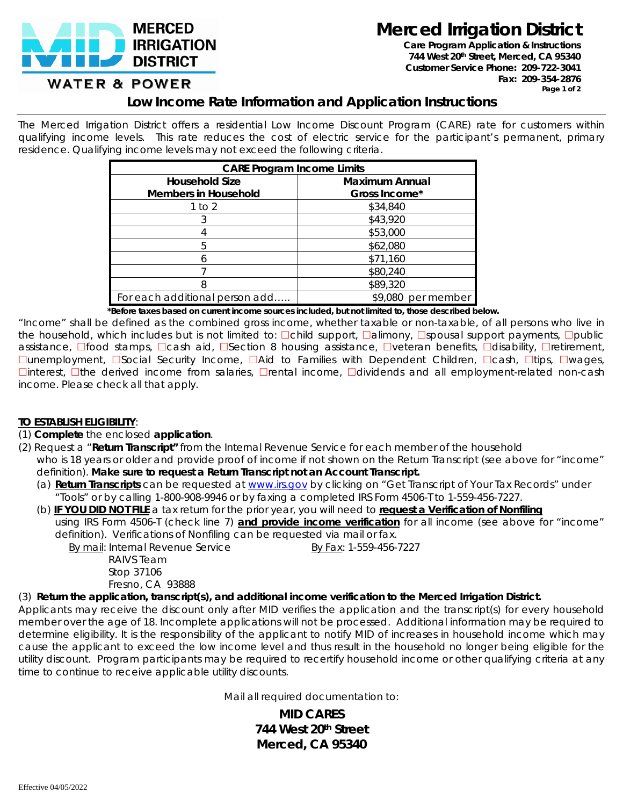

**Merced Irrigation District**

**Care Program Application & Instructions** *744 West 20th Street, Merced, CA 95340 Customer Service Phone: 209-722-3041 Fax: 209-354-2876 Page 1 of 2*

# **WATER & POWER**

## **Low Income Rate Information and Application Instructions**

The Merced Irrigation District offers a residential Low Income Discount Program (CARE) rate for customers within qualifying income levels. This rate reduces the cost of electric service for the participant's permanent, primary residence. Qualifying income levels may not exceed the following criteria.

| <b>CARE Program Income Limits</b> |                       |  |  |  |
|-----------------------------------|-----------------------|--|--|--|
| <b>Household Size</b>             | <b>Maximum Annual</b> |  |  |  |
| <b>Members in Household</b>       | Gross Income*         |  |  |  |
| 1 to 2                            | \$34,840              |  |  |  |
|                                   | \$43,920              |  |  |  |
|                                   | \$53,000              |  |  |  |
| h                                 | \$62,080              |  |  |  |
|                                   | \$71,160              |  |  |  |
|                                   | \$80,240              |  |  |  |
|                                   | \$89,320              |  |  |  |
| For each additional person add    | \$9,080 per member    |  |  |  |

 *\*Before taxes based on current income sources included, but not limited to, those described below.*

"Income" shall be defined as the combined gross income, whether taxable or non-taxable, of all persons who live in the household, which includes but is not limited to: Dchild support, Dalimony, Dspousal support payments, Dpublic assistance, Dfood stamps, Dcash aid, DSection 8 housing assistance, Dveteran benefits, Ddisability, Dretirement,  $\Box$ unemployment,  $\Box$ Social Security Income,  $\Box$ Aid to Families with Dependent Children,  $\Box$ cash,  $\Box$ tips,  $\Box$ wages,  $\Box$ interest,  $\Box$ the derived income from salaries,  $\Box$ rental income,  $\Box$ dividends and all employment-related non-cash income. Please check all that apply.

### **TO ESTABLISH ELIGIBILITY**:

#### (1) **Complete** the enclosed **application**.

- (2) Request a "**Return Transcript"** from the Internal Revenue Service for each member of the household who is 18 years or older and provide proof of income if not shown on the Return Transcript (see above for "income" definition). **Make sure to request a Return Transcript not an Account Transcript.**
	- (a) **Return Transcripts** can be requested at [www.irs.gov](http://www.irs.gov/) by clicking on "Get Transcript of Your Tax Records" under "Tools" or by calling 1-800-908-9946 or by faxing a completed IRS Form 4506-T to 1-559-456-7227.
	- (b) **IF YOU DID NOT FILE** a tax return for the prior year, you will need to **request a Verification of Nonfiling** using IRS Form 4506-T (check line 7) **and provide income verification** for all income (see above for "income" definition). Verifications of Nonfiling can be requested via mail or fax.

By mail: Internal Revenue Service By Fax: 1-559-456-7227

 RAIVS Team Stop 37106 Fresno, CA 93888

### (3) *Return the application, transcript(s), and additional income verification to the Merced Irrigation District.*

Applicants may receive the discount only after MID verifies the application and the transcript(s) for every household member over the age of 18. Incomplete applications will not be processed. Additional information may be required to determine eligibility. It is the responsibility of the applicant to notify MID of increases in household income which may cause the applicant to exceed the low income level and thus result in the household no longer being eligible for the utility discount. Program participants may be required to recertify household income or other qualifying criteria at any time to continue to receive applicable utility discounts.

Mail all required documentation to:

**MID CARES 744 West 20th Street Merced, CA 95340**